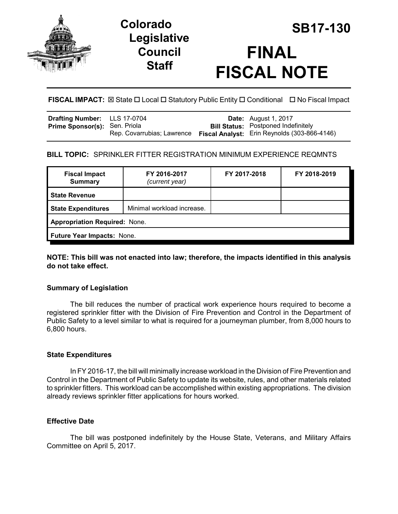

# **Legislative Council Staff**



**FISCAL IMPACT:** ⊠ State  $\Box$  Local  $\Box$  Statutory Public Entity  $\Box$  Conditional  $\Box$  No Fiscal Impact

| Drafting Number: LLS 17-0704         |                            | <b>Date:</b> August 1, 2017                  |
|--------------------------------------|----------------------------|----------------------------------------------|
| <b>Prime Sponsor(s): Sen. Priola</b> |                            | <b>Bill Status: Postponed Indefinitely</b>   |
|                                      | Rep. Covarrubias; Lawrence | Fiscal Analyst: Erin Reynolds (303-866-4146) |

### **BILL TOPIC:** SPRINKLER FITTER REGISTRATION MINIMUM EXPERIENCE REQMNTS

| FY 2016-2017<br>(current year)       | FY 2017-2018 | FY 2018-2019 |  |  |  |
|--------------------------------------|--------------|--------------|--|--|--|
|                                      |              |              |  |  |  |
| Minimal workload increase.           |              |              |  |  |  |
| <b>Appropriation Required: None.</b> |              |              |  |  |  |
| Future Year Impacts: None.           |              |              |  |  |  |
|                                      |              |              |  |  |  |

#### **NOTE: This bill was not enacted into law; therefore, the impacts identified in this analysis do not take effect.**

#### **Summary of Legislation**

The bill reduces the number of practical work experience hours required to become a registered sprinkler fitter with the Division of Fire Prevention and Control in the Department of Public Safety to a level similar to what is required for a journeyman plumber, from 8,000 hours to 6,800 hours.

#### **State Expenditures**

In FY 2016-17, the bill will minimally increase workload in the Division of Fire Prevention and Control in the Department of Public Safety to update its website, rules, and other materials related to sprinkler fitters. This workload can be accomplished within existing appropriations. The division already reviews sprinkler fitter applications for hours worked.

#### **Effective Date**

The bill was postponed indefinitely by the House State, Veterans, and Military Affairs Committee on April 5, 2017.